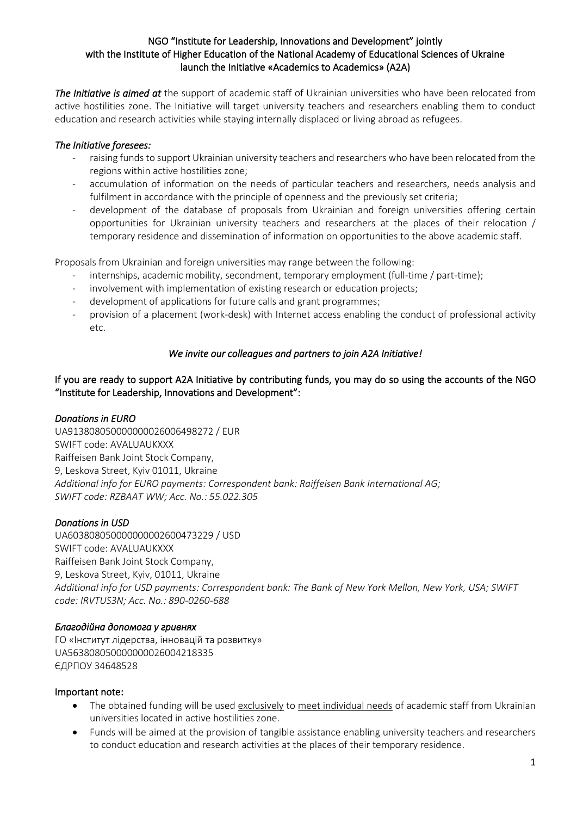#### NGO "Іnstitute for Leadership, Innovations and Development" jointly with the Institute of Higher Education of the National Academy of Educational Sciences of Ukraine launch the Initiative «Academics to Academics» (A2A)

*The Initiative is aimed at* the support of academic staff of Ukrainian universities who have been relocated from active hostilities zone. The Initiative will target university teachers and researchers enabling them to conduct education and research activities while staying internally displaced or living abroad as refugees.

### *The Initiative foresees:*

- raising funds to support Ukrainian university teachers and researchers who have been relocated from the regions within active hostilities zone;
- accumulation of information on the needs of particular teachers and researchers, needs analysis and fulfilment in accordance with the principle of openness and the previously set criteria;
- development of the database of proposals from Ukrainian and foreign universities offering certain opportunities for Ukrainian university teachers and researchers at the places of their relocation / temporary residence and dissemination of information on opportunities to the above academic staff.

Proposals from Ukrainian and foreign universities may range between the following:

- internships, academic mobility, secondment, temporary employment (full-time / part-time);
- involvement with implementation of existing research or education projects;
- development of applications for future calls and grant programmes;
- provision of a placement (work-desk) with Internet access enabling the conduct of professional activity etc.

## *We invite our colleagues and partners to join A2A Initiative!*

If you are ready to support A2A Initiative by contributing funds, you may do so using the accounts of the NGO "Institute for Leadership, Innovations and Development":

#### *Donations in EURO*

UA913808050000000026006498272 / EUR SWIFT code: AVALUAUKXXX Raiffeisen Bank Joint Stock Company, 9, Leskova Street, Kyiv 01011, Ukraine *Additional info for EURO payments: Correspondent bank: Raiffeisen Bank International AG; SWIFT code: RZBAAT WW; Acc. No.: 55.022.305*

# *Donations in USD*

UA603808050000000002600473229 / USD SWIFT code: AVALUAUKXXX Raiffeisen Bank Joint Stock Company, 9, Leskova Street, Kyiv, 01011, Ukraine *Additional info for USD payments: Correspondent bank: The Bank of New York Mellon, New York, USA; SWIFT code: IRVTUS3N; Acc. No.: 890-0260-688* 

#### *Благодійна допомога у гривнях*

ГО «Інститут лідерства, інновацій та розвитку» UA563808050000000026004218335 ЄДРПОУ 34648528

#### Important note:

- The obtained funding will be used exclusively to meet individual needs of academic staff from Ukrainian universities located in active hostilities zone.
- Funds will be aimed at the provision of tangible assistance enabling university teachers and researchers to conduct education and research activities at the places of their temporary residence.